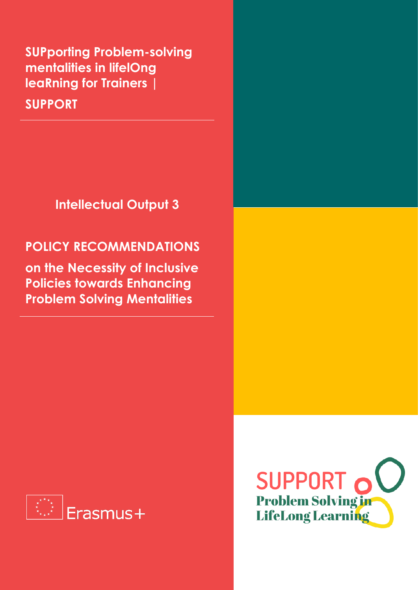**SUPporting Problem-solving mentalities in lifelOng leaRning for Trainers |**

**SUPPORT**

**Intellectual Output 3**

### **POLICY RECOMMENDATIONS**

**on the Necessity of Inclusive Policies towards Enhancing Problem Solving Mentalities**



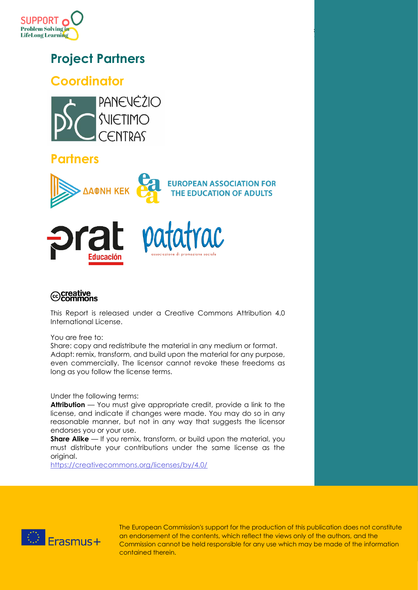

## **Project Partners**

### **Coordinator**



### **Partners**







### ⊙creative<br>©commons

This Report is released under a Creative Commons Attribution 4.0 International License.

You are free to:

Share: copy and redistribute the material in any medium or format. Adapt: remix, transform, and build upon the material for any purpose, even commercially. The licensor cannot revoke these freedoms as long as you follow the license terms.

Under the following terms:

**Attribution** — You must give appropriate credit, provide a link to the license, and indicate if changes were made. You may do so in any reasonable manner, but not in any way that suggests the licensor endorses you or your use.

**Share Alike** — If you remix, transform, or build upon the material, you must distribute your contributions under the same license as the original.

<https://creativecommons.org/licenses/by/4.0/>



The European Commission's support for the production of this publication does not constitute an endorsement of the contents, which reflect the views only of the authors, and the Commission cannot be held responsible for any use which may be made of the information contained therein.

SUPPORT PROJE<mark>C</mark>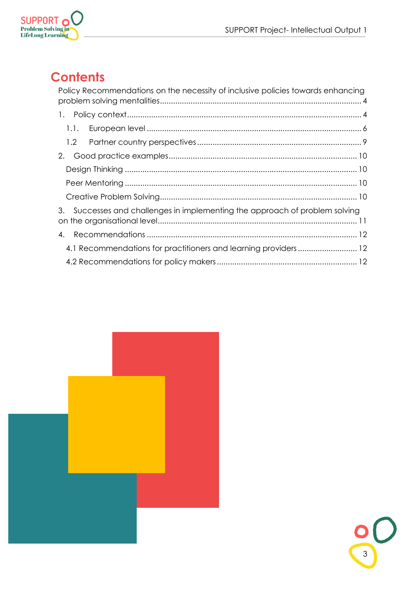

# **Contents**

|      | Policy Recommendations on the necessity of inclusive policies towards enhancing |  |
|------|---------------------------------------------------------------------------------|--|
|      |                                                                                 |  |
| 1.1. |                                                                                 |  |
|      |                                                                                 |  |
| 2.   |                                                                                 |  |
|      |                                                                                 |  |
|      |                                                                                 |  |
|      |                                                                                 |  |
| 3.   | Successes and challenges in implementing the approach of problem solving        |  |
| 4.   |                                                                                 |  |
|      | 4.1 Recommendations for practitioners and learning providers 12                 |  |
|      |                                                                                 |  |

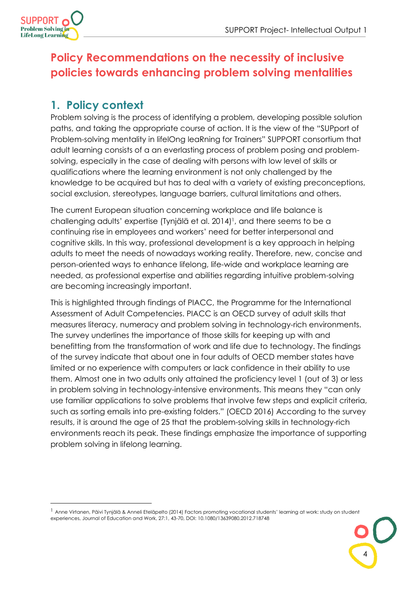

## <span id="page-3-0"></span>**Policy Recommendations on the necessity of inclusive policies towards enhancing problem solving mentalities**

### <span id="page-3-1"></span>**1. Policy context**

Problem solving is the process of identifying a problem, developing possible solution paths, and taking the appropriate course of action. It is the view of the "SUPport of Problem-solving mentality in lifelOng leaRning for Trainers" SUPPORT consortium that adult learning consists of a an everlasting process of problem posing and problemsolving, especially in the case of dealing with persons with low level of skills or qualifications where the learning environment is not only challenged by the knowledge to be acquired but has to deal with a variety of existing preconceptions, social exclusion, stereotypes, language barriers, cultural limitations and others.

The current European situation concerning workplace and life balance is challenging adults' expertise (Tynjälä et al. 2014) 1 , and there seems to be a continuing rise in employees and workers' need for better interpersonal and cognitive skills. In this way, professional development is a key approach in helping adults to meet the needs of nowadays working reality. Therefore, new, concise and person-oriented ways to enhance lifelong, life-wide and workplace learning are needed, as professional expertise and abilities regarding intuitive problem-solving are becoming increasingly important.

This is highlighted through findings of PIACC, the Programme for the International Assessment of Adult Competencies. PIACC is an OECD survey of adult skills that measures literacy, numeracy and problem solving in technology-rich environments. The survey underlines the importance of those skills for keeping up with and benefitting from the transformation of work and life due to technology. The findings of the survey indicate that about one in four adults of OECD member states have limited or no experience with computers or lack confidence in their ability to use them. Almost one in two adults only attained the proficiency level 1 (out of 3) or less in problem solving in technology-intensive environments. This means they "can only use familiar applications to solve problems that involve few steps and explicit criteria, such as sorting emails into pre-existing folders." (OECD 2016) According to the survey results, it is around the age of 25 that the problem-solving skills in technology-rich environments reach its peak. These findings emphasize the importance of supporting problem solving in lifelong learning.

4

<sup>&</sup>lt;sup>1</sup> Anne Virtanen, Päivi Tynjälä & Anneli Eteläpelto (2014) Factors promoting vocational students' learning at work: study on student experiences, Journal of Education and Work, 27:1, 43-70, DOI: 10.1080/13639080.2012.718748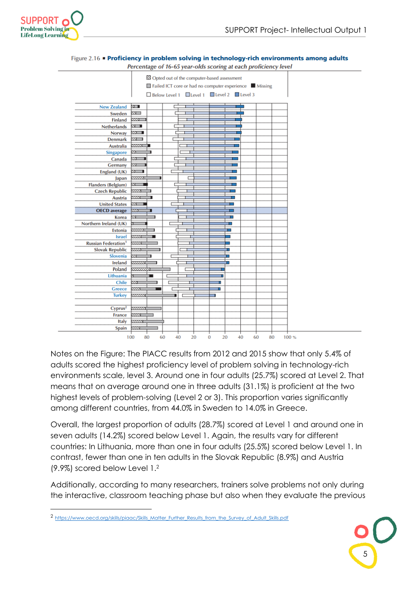



#### Figure 2.16 • Proficiency in problem solving in technology-rich environments among adults

Percentage of 16-65 year-olds scoring at each proficiency level

Notes on the Figure: The PIACC results from 2012 and 2015 show that only 5.4% of adults scored the highest proficiency level of problem solving in technology-rich environments scale, level 3. Around one in four adults (25.7%) scored at Level 2. That means that on average around one in three adults (31.1%) is proficient at the two highest levels of problem-solving (Level 2 or 3). This proportion varies significantly among different countries, from 44.0% in Sweden to 14.0% in Greece.

Overall, the largest proportion of adults (28.7%) scored at Level 1 and around one in seven adults (14.2%) scored below Level 1. Again, the results vary for different countries: In Lithuania, more than one in four adults (25.5%) scored below Level 1. In contrast, fewer than one in ten adults in the Slovak Republic (8.9%) and Austria (9.9%) scored below Level 1.<sup>2</sup>

Additionally, according to many researchers, trainers solve problems not only during the interactive, classroom teaching phase but also when they evaluate the previous



<sup>2</sup> [https://www.oecd.org/skills/piaac/Skills\\_Matter\\_Further\\_Results\\_from\\_the\\_Survey\\_of\\_Adult\\_Skills.pdf](https://www.oecd.org/skills/piaac/Skills_Matter_Further_Results_from_the_Survey_of_Adult_Skills.pdf)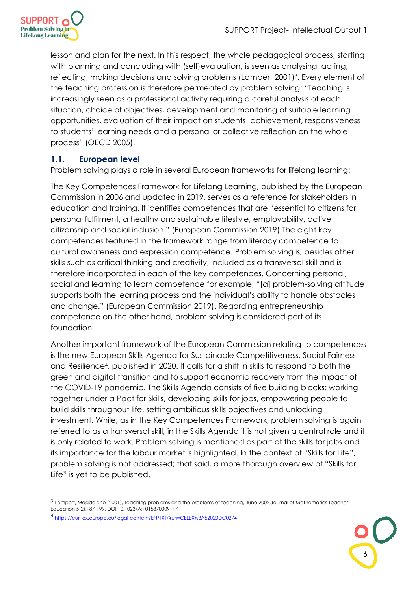

lesson and plan for the next. In this respect, the whole pedagogical process, starting with planning and concluding with (self)evaluation, is seen as analysing, acting, reflecting, making decisions and solving problems (Lampert 2001) 3 . Every element of the teaching profession is therefore permeated by problem solving: "Teaching is increasingly seen as a professional activity requiring a careful analysis of each situation, choice of objectives, development and monitoring of suitable learning opportunities, evaluation of their impact on students' achievement, responsiveness to students' learning needs and a personal or collective reflection on the whole process" (OECD 2005).

#### <span id="page-5-0"></span>**1.1. European level**

Problem solving plays a role in several European frameworks for lifelong learning:

The Key Competences Framework for Lifelong Learning, published by the European Commission in 2006 and updated in 2019, serves as a reference for stakeholders in education and training. It identifies competences that are "essential to citizens for personal fulfilment, a healthy and sustainable lifestyle, employability, active citizenship and social inclusion." (European Commission 2019) The eight key competences featured in the framework range from literacy competence to cultural awareness and expression competence. Problem solving is, besides other skills such as critical thinking and creativity, included as a transversal skill and is therefore incorporated in each of the key competences. Concerning personal, social and learning to learn competence for example, "[a] problem-solving attitude supports both the learning process and the individual's ability to handle obstacles and change." (European Commission 2019). Regarding entrepreneurship competence on the other hand, problem solving is considered part of its foundation.

Another important framework of the European Commission relating to competences is the new European Skills Agenda for Sustainable Competitiveness, Social Fairness and Resilience<sup>4</sup> , published in 2020. It calls for a shift in skills to respond to both the green and digital transition and to support economic recovery from the impact of the COVID-19 pandemic. The Skills Agenda consists of five building blocks: working together under a Pact for Skills, developing skills for jobs, empowering people to build skills throughout life, setting ambitious skills objectives and unlocking investment. While, as in the Key Competences Framework, problem solving is again referred to as a transversal skill, in the Skills Agenda it is not given a central role and it is only related to work. Problem solving is mentioned as part of the skills for jobs and its importance for the labour market is highlighted. In the context of "Skills for Life", problem solving is not addressed; that said, a more thorough overview of "Skills for Life" is yet to be published.



<sup>3</sup> Lampert, Magdalene (2001), Teaching problems and the problems of teaching, June 2002,Journal of Mathematics Teacher Education 5(2):187-199, DOI:10.1023/A:1015870009117

<sup>4</sup> <https://eur-lex.europa.eu/legal-content/EN/TXT/?uri=CELEX%3A52020DC0274>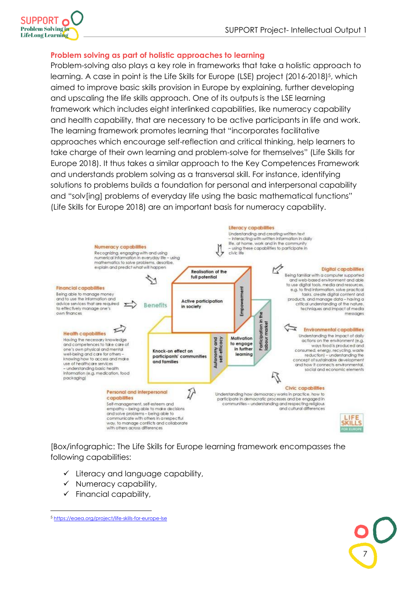

#### **Problem solving as part of holistic approaches to learning**

Problem-solving also plays a key role in frameworks that take a holistic approach to learning. A case in point is the Life Skills for Europe (LSE) project (2016-2018)<sup>5</sup>, which aimed to improve basic skills provision in Europe by explaining, further developing and upscaling the life skills approach. One of its outputs is the LSE learning framework which includes eight interlinked capabilities, like numeracy capability and health capability, that are necessary to be active participants in life and work. The learning framework promotes learning that "incorporates facilitative approaches which encourage self-reflection and critical thinking, help learners to take charge of their own learning and problem-solve for themselves" (Life Skills for Europe 2018). It thus takes a similar approach to the Key Competences Framework and understands problem solving as a transversal skill. For instance, identifying solutions to problems builds a foundation for personal and interpersonal capability and "solv[ing] problems of everyday life using the basic mathematical functions" (Life Skills for Europe 2018) are an important basis for numeracy capability.



[Box/infographic: The Life Skills for Europe learning framework encompasses the following capabilities:

- ✓ Literacy and language capability,
- $\checkmark$  Numeracy capability,
- $\checkmark$  Financial capability,

<sup>5</sup> <https://eaea.org/project/life-skills-for-europe-lse>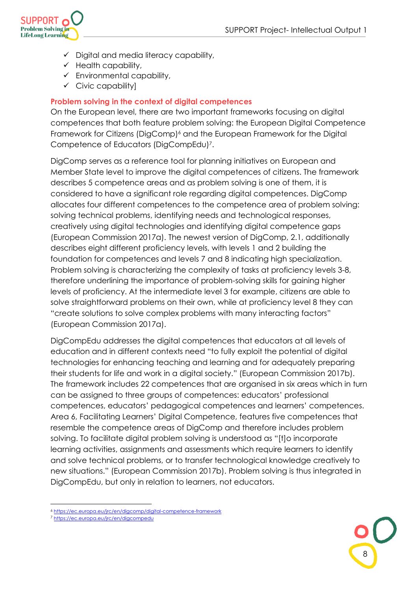

- $\checkmark$  Digital and media literacy capability,
- $\checkmark$  Health capability,
- $\checkmark$  Environmental capability,
- $\checkmark$  Civic capability]

#### **Problem solving in the context of digital competences**

On the European level, there are two important frameworks focusing on digital competences that both feature problem solving: the European Digital Competence Framework for Citizens (DigComp)<sup>6</sup> and the European Framework for the Digital Competence of Educators (DigCompEdu)<sup>7</sup> .

DigComp serves as a reference tool for planning initiatives on European and Member State level to improve the digital competences of citizens. The framework describes 5 competence areas and as problem solving is one of them, it is considered to have a significant role regarding digital competences. DigComp allocates four different competences to the competence area of problem solving: solving technical problems, identifying needs and technological responses, creatively using digital technologies and identifying digital competence gaps (European Commission 2017a). The newest version of DigComp, 2.1, additionally describes eight different proficiency levels, with levels 1 and 2 building the foundation for competences and levels 7 and 8 indicating high specialization. Problem solving is characterizing the complexity of tasks at proficiency levels 3-8, therefore underlining the importance of problem-solving skills for gaining higher levels of proficiency. At the intermediate level 3 for example, citizens are able to solve straightforward problems on their own, while at proficiency level 8 they can "create solutions to solve complex problems with many interacting factors" (European Commission 2017a).

DigCompEdu addresses the digital competences that educators at all levels of education and in different contexts need "to fully exploit the potential of digital technologies for enhancing teaching and learning and for adequately preparing their students for life and work in a digital society." (European Commission 2017b). The framework includes 22 competences that are organised in six areas which in turn can be assigned to three groups of competences: educators' professional competences, educators' pedagogical competences and learners' competences. Area 6, Facilitating Learners' Digital Competence, features five competences that resemble the competence areas of DigComp and therefore includes problem solving. To facilitate digital problem solving is understood as "[t]o incorporate learning activities, assignments and assessments which require learners to identify and solve technical problems, or to transfer technological knowledge creatively to new situations." (European Commission 2017b). Problem solving is thus integrated in DigCompEdu, but only in relation to learners, not educators.



<sup>6</sup> <https://ec.europa.eu/jrc/en/digcomp/digital-competence-framework>

<sup>7</sup> <https://ec.europa.eu/jrc/en/digcompedu>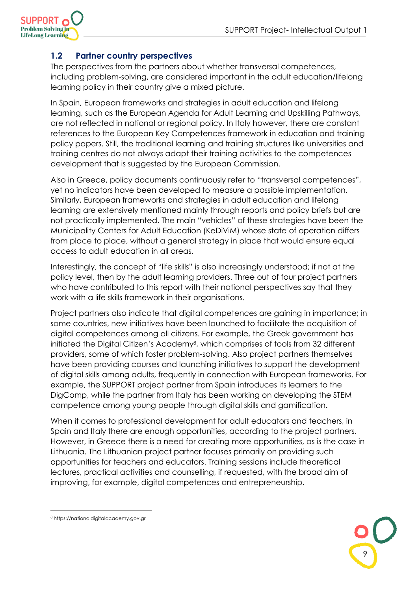

#### <span id="page-8-0"></span>**1.2 Partner country perspectives**

The perspectives from the partners about whether transversal competences, including problem-solving, are considered important in the adult education/lifelong learning policy in their country give a mixed picture.

In Spain, European frameworks and strategies in adult education and lifelong learning, such as the European Agenda for Adult Learning and Upskilling Pathways, are not reflected in national or regional policy. In Italy however, there are constant references to the European Key Competences framework in education and training policy papers. Still, the traditional learning and training structures like universities and training centres do not always adapt their training activities to the competences development that is suggested by the European Commission.

Also in Greece, policy documents continuously refer to "transversal competences", yet no indicators have been developed to measure a possible implementation. Similarly, European frameworks and strategies in adult education and lifelong learning are extensively mentioned mainly through reports and policy briefs but are not practically implemented. The main "vehicles" of these strategies have been the Municipality Centers for Adult Education (KeDiViM) whose state of operation differs from place to place, without a general strategy in place that would ensure equal access to adult education in all areas.

Interestingly, the concept of "life skills" is also increasingly understood; if not at the policy level, then by the adult learning providers. Three out of four project partners who have contributed to this report with their national perspectives say that they work with a life skills framework in their organisations.

Project partners also indicate that digital competences are gaining in importance; in some countries, new initiatives have been launched to facilitate the acquisition of digital competences among all citizens. For example, the Greek government has initiated the Digital Citizen's Academy<sup>8</sup>, which comprises of tools from 32 different providers, some of which foster problem-solving. Also project partners themselves have been providing courses and launching initiatives to support the development of digital skills among adults, frequently in connection with European frameworks. For example, the SUPPORT project partner from Spain introduces its learners to the DigComp, while the partner from Italy has been working on developing the STEM competence among young people through digital skills and gamification.

When it comes to professional development for adult educators and teachers, in Spain and Italy there are enough opportunities, according to the project partners. However, in Greece there is a need for creating more opportunities, as is the case in Lithuania. The Lithuanian project partner focuses primarily on providing such opportunities for teachers and educators. Training sessions include theoretical lectures, practical activities and counselling, if requested, with the broad aim of improving, for example, digital competences and entrepreneurship.

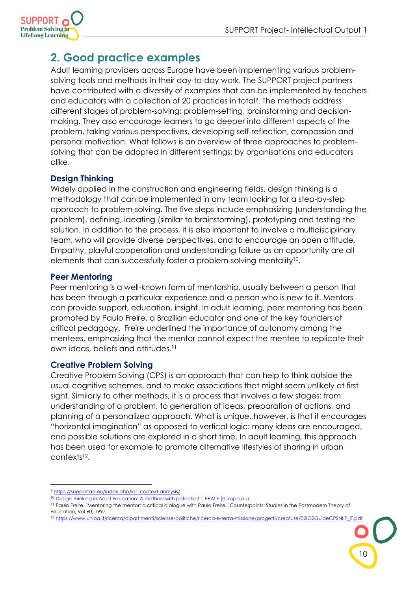

### <span id="page-9-0"></span>**2. Good practice examples**

Adult learning providers across Europe have been implementing various problemsolving tools and methods in their day-to-day work. The SUPPORT project partners have contributed with a diversity of examples that can be implemented by teachers and educators with a collection of 20 practices in total<sup>9</sup>. The methods address different stages of problem-solving: problem-setting, brainstorming and decisionmaking. They also encourage learners to go deeper into different aspects of the problem, taking various perspectives, developing self-reflection, compassion and personal motivation. What follows is an overview of three approaches to problemsolving that can be adopted in different settings; by organisations and educators alike.

#### <span id="page-9-1"></span>**Design Thinking**

Widely applied in the construction and engineering fields, design thinking is a methodology that can be implemented in any team looking for a step-by-step approach to problem-solving. The five steps include emphasizing (understanding the problem), defining, ideating (similar to brainstorming), prototyping and testing the solution. In addition to the process, it is also important to involve a multidisciplinary team, who will provide diverse perspectives, and to encourage an open attitude. Empathy, playful cooperation and understanding failure as an opportunity are all elements that can successfully foster a problem-solving mentality<sup>10</sup>.

#### <span id="page-9-2"></span>**Peer Mentoring**

Peer mentoring is a well-known form of mentorship, usually between a person that has been through a particular experience and a person who is new to it. Mentors can provide support, education, insight. In adult learning, peer mentoring has been promoted by Paulo Freire, a Brazilian educator and one of the key founders of critical pedagogy. Freire underlined the importance of autonomy among the mentees, emphasizing that the mentor cannot expect the mentee to replicate their own ideas, beliefs and attitudes.<sup>11</sup>

#### <span id="page-9-3"></span>**Creative Problem Solving**

Creative Problem Solving (CPS) is an approach that can help to think outside the usual cognitive schemes, and to make associations that might seem unlikely at first sight. Similarly to other methods, it is a process that involves a few stages: from understanding of a problem, to generation of ideas, preparation of actions, and planning of a personalized approach. What is unique, however, is that it encourages "horizontal imagination" as opposed to vertical logic: many ideas are encouraged, and possible solutions are explored in a short time. In adult learning, this approach has been used for example to promote alternative lifestyles of sharing in urban contexts<sup>12</sup> .

<sup>9</sup> <https://supportae.eu/index.php/io1-context-analysis/>

<sup>10</sup> [Design Thinking in Adult Education: A method with potential! | EPALE \(europa.eu\)](https://epale.ec.europa.eu/en/blog/design-thinking-der-erwachsenenbildung-eine-methode-mit-potential#:~:text=Design%20Thinking%20is%20a%20proven,problems%20of%20their%20own%20clients)

<sup>&</sup>lt;sup>11</sup> Paulo Freire, "Mentoring the mentor: a critical dialogue with Paulo Freire," Counterpoints: Studies in the Postmodern Theory of Education, Vol 60, 1997

<sup>12</sup> [https://www.uniba.it/ricerca/dipartimenti/scienze-politiche/ricerca-e-terza-missione/progetti/creatuse/02IO2GuideCPSNLP\\_IT.pdf](https://www.uniba.it/ricerca/dipartimenti/scienze-politiche/ricerca-e-terza-missione/progetti/creatuse/02IO2GuideCPSNLP_IT.pdf)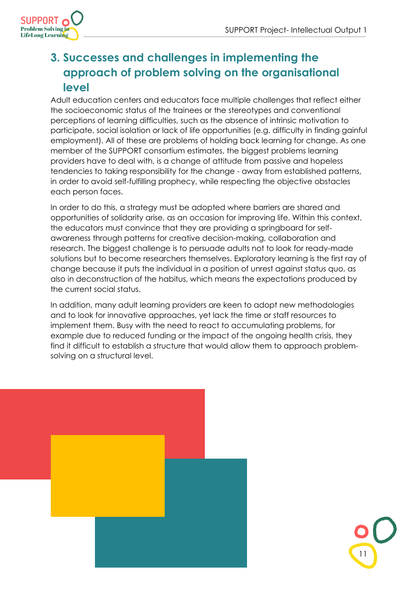

## <span id="page-10-0"></span>**3. Successes and challenges in implementing the approach of problem solving on the organisational level**

Adult education centers and educators face multiple challenges that reflect either the socioeconomic status of the trainees or the stereotypes and conventional perceptions of learning difficulties, such as the absence of intrinsic motivation to participate, social isolation or lack of life opportunities (e.g. difficulty in finding gainful employment). All of these are problems of holding back learning for change. As one member of the SUPPORT consortium estimates, the biggest problems learning providers have to deal with, is a change of attitude from passive and hopeless tendencies to taking responsibility for the change - away from established patterns, in order to avoid self-fulfilling prophecy, while respecting the objective obstacles each person faces.

In order to do this, a strategy must be adopted where barriers are shared and opportunities of solidarity arise, as an occasion for improving life. Within this context, the educators must convince that they are providing a springboard for selfawareness through patterns for creative decision-making, collaboration and research. The biggest challenge is to persuade adults not to look for ready-made solutions but to become researchers themselves. Exploratory learning is the first ray of change because it puts the individual in a position of unrest against status quo, as also in deconstruction of the habitus, which means the expectations produced by the current social status.

In addition, many adult learning providers are keen to adopt new methodologies and to look for innovative approaches, yet lack the time or staff resources to implement them. Busy with the need to react to accumulating problems, for example due to reduced funding or the impact of the ongoing health crisis, they find it difficult to establish a structure that would allow them to approach problemsolving on a structural level.

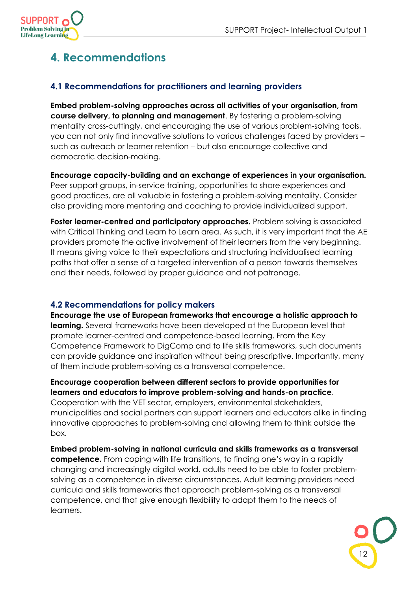

## <span id="page-11-0"></span>**4. Recommendations**

#### <span id="page-11-1"></span>**4.1 Recommendations for practitioners and learning providers**

**Embed problem-solving approaches across all activities of your organisation, from course delivery, to planning and management**. By fostering a problem-solving mentality cross-cuttingly, and encouraging the use of various problem-solving tools, you can not only find innovative solutions to various challenges faced by providers – such as outreach or learner retention – but also encourage collective and democratic decision-making.

**Encourage capacity-building and an exchange of experiences in your organisation.** Peer support groups, in-service training, opportunities to share experiences and good practices, are all valuable in fostering a problem-solving mentality. Consider also providing more mentoring and coaching to provide individualized support.

**Foster learner-centred and participatory approaches.** Problem solving is associated with Critical Thinking and Learn to Learn area. As such, it is very important that the AE providers promote the active involvement of their learners from the very beginning. It means giving voice to their expectations and structuring individualised learning paths that offer a sense of a targeted intervention of a person towards themselves and their needs, followed by proper guidance and not patronage.

#### <span id="page-11-2"></span>**4.2 Recommendations for policy makers**

**Encourage the use of European frameworks that encourage a holistic approach to learning.** Several frameworks have been developed at the European level that promote learner-centred and competence-based learning. From the Key Competence Framework to DigComp and to life skills frameworks, such documents can provide guidance and inspiration without being prescriptive. Importantly, many of them include problem-solving as a transversal competence.

**Encourage cooperation between different sectors to provide opportunities for learners and educators to improve problem-solving and hands-on practice**. Cooperation with the VET sector, employers, environmental stakeholders, municipalities and social partners can support learners and educators alike in finding innovative approaches to problem-solving and allowing them to think outside the box.

**Embed problem-solving in national curricula and skills frameworks as a transversal competence.** From coping with life transitions, to finding one's way in a rapidly changing and increasingly digital world, adults need to be able to foster problemsolving as a competence in diverse circumstances. Adult learning providers need curricula and skills frameworks that approach problem-solving as a transversal competence, and that give enough flexibility to adapt them to the needs of learners.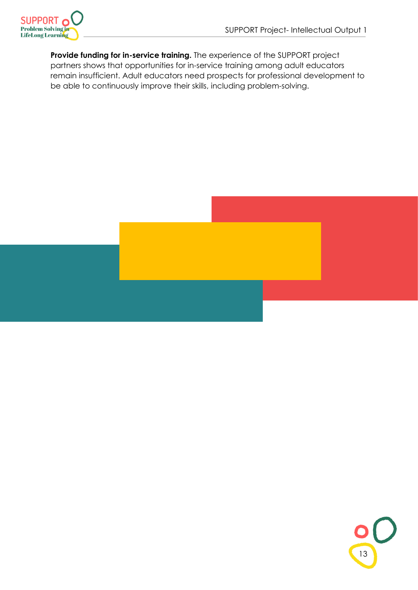

**Provide funding for in-service training.** The experience of the SUPPORT project partners shows that opportunities for in-service training among adult educators remain insufficient. Adult educators need prospects for professional development to be able to continuously improve their skills, including problem-solving.